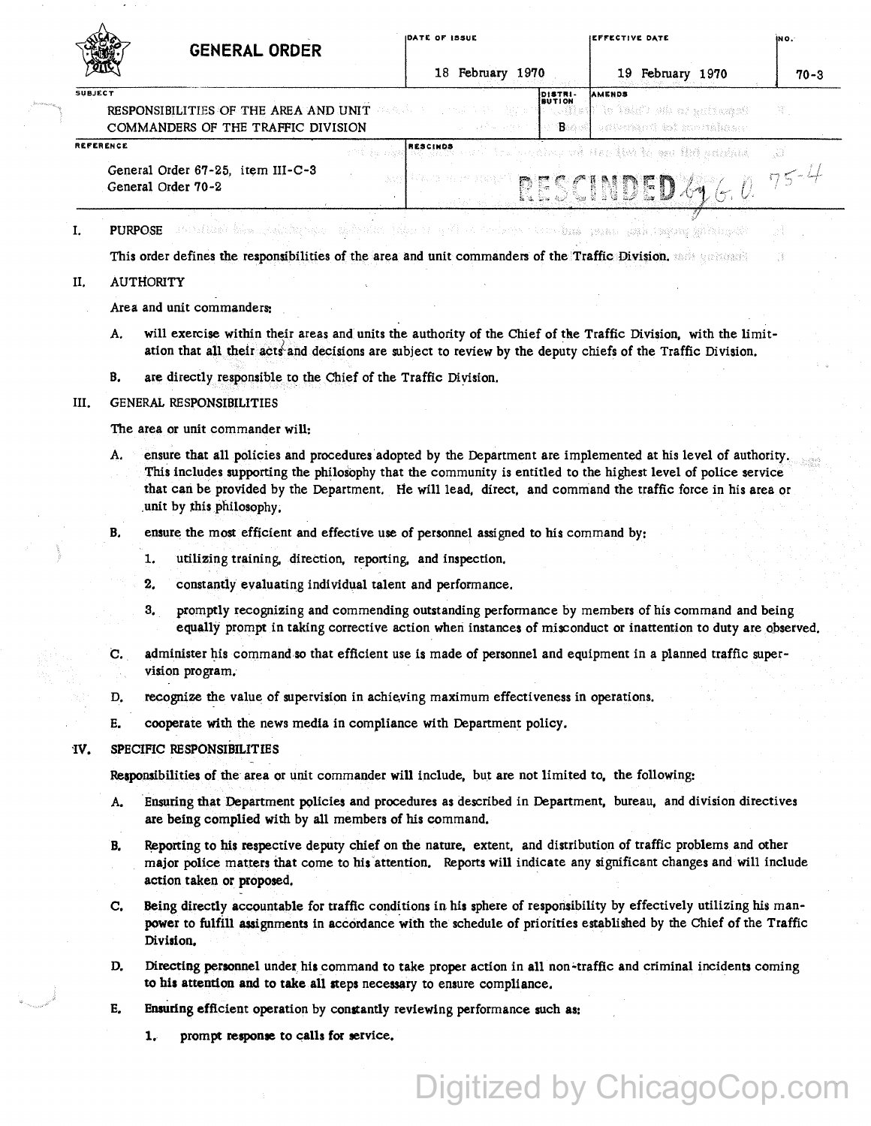|           |                                                                                                                                                                                                                                                                                                                                                                               | <b>GENERAL ORDER</b>                                                                                                                                                                                                                                           | DATE OF ISSUE             | EFFECTIVE DATE                                                           | IN O.    |
|-----------|-------------------------------------------------------------------------------------------------------------------------------------------------------------------------------------------------------------------------------------------------------------------------------------------------------------------------------------------------------------------------------|----------------------------------------------------------------------------------------------------------------------------------------------------------------------------------------------------------------------------------------------------------------|---------------------------|--------------------------------------------------------------------------|----------|
|           |                                                                                                                                                                                                                                                                                                                                                                               |                                                                                                                                                                                                                                                                | 18 February 1970          | 19 February 1970                                                         | 70-3     |
| SUBJECT   |                                                                                                                                                                                                                                                                                                                                                                               | RESPONSIBILITIES OF THE AREA AND UNIT<br>COMMANDERS OF THE TRAFFIC DIVISION                                                                                                                                                                                    | DISTRI-<br>BUTION<br>Beer | AMENDS<br>te paning un du Chief ef<br>心脏法引起<br>understand for impression | 窝。       |
| REFERENCE |                                                                                                                                                                                                                                                                                                                                                                               |                                                                                                                                                                                                                                                                | <b>RESCINDS</b>           | Airon while new is with an im under                                      | -33      |
|           | General Order 67-25, item III-C-3<br>General Order 70-2                                                                                                                                                                                                                                                                                                                       |                                                                                                                                                                                                                                                                |                           | RESCINDED 49                                                             | $75 - 4$ |
| I.        |                                                                                                                                                                                                                                                                                                                                                                               | <b>PURPOSE</b> Annal Lais Laighton of the Solution of the Control of the Company Laid data plane distribution of the second                                                                                                                                    |                           |                                                                          |          |
|           |                                                                                                                                                                                                                                                                                                                                                                               | This order defines the responsibilities of the area and unit commanders of the Traffic Division, and successive                                                                                                                                                |                           |                                                                          |          |
| П.        | <b>AUTHORITY</b>                                                                                                                                                                                                                                                                                                                                                              |                                                                                                                                                                                                                                                                |                           |                                                                          |          |
|           |                                                                                                                                                                                                                                                                                                                                                                               | Area and unit commanders:                                                                                                                                                                                                                                      |                           |                                                                          |          |
|           | Α.                                                                                                                                                                                                                                                                                                                                                                            | will exercise within their areas and units the authority of the Chief of the Traffic Division, with the limit-<br>ation that all their acts and decisions are subject to review by the deputy chiefs of the Traffic Division.                                  |                           |                                                                          |          |
| В.        |                                                                                                                                                                                                                                                                                                                                                                               | are directly responsible to the Chief of the Traffic Division.                                                                                                                                                                                                 |                           |                                                                          |          |
| Ш.        |                                                                                                                                                                                                                                                                                                                                                                               | <b>GENERAL RESPONSIBILITIES</b>                                                                                                                                                                                                                                |                           |                                                                          |          |
|           |                                                                                                                                                                                                                                                                                                                                                                               | The area or unit commander will:                                                                                                                                                                                                                               |                           |                                                                          |          |
|           | ensure that all policies and procedures adopted by the Department are implemented at his level of authority.<br>А.<br>This includes supporting the philosophy that the community is entitled to the highest level of police service<br>that can be provided by the Department. He will lead, direct, and command the traffic force in his area or<br>unit by this philosophy. |                                                                                                                                                                                                                                                                |                           |                                                                          |          |
| B.        |                                                                                                                                                                                                                                                                                                                                                                               | ensure the most efficient and effective use of personnel assigned to his command by:                                                                                                                                                                           |                           |                                                                          |          |
|           |                                                                                                                                                                                                                                                                                                                                                                               | 1.<br>utilizing training, direction, reporting, and inspection.                                                                                                                                                                                                |                           |                                                                          |          |
|           |                                                                                                                                                                                                                                                                                                                                                                               | 2.<br>constantly evaluating individual talent and performance.                                                                                                                                                                                                 |                           |                                                                          |          |
|           |                                                                                                                                                                                                                                                                                                                                                                               | promptly recognizing and commending outstanding performance by members of his command and being<br>3.<br>equally prompt in taking corrective action when instances of misconduct or inattention to duty are observed.                                          |                           |                                                                          |          |
|           | C.                                                                                                                                                                                                                                                                                                                                                                            | administer his command so that efficient use is made of personnel and equipment in a planned traffic super-<br>vision program.                                                                                                                                 |                           |                                                                          |          |
|           | D.                                                                                                                                                                                                                                                                                                                                                                            | recognize the value of supervision in achieving maximum effectiveness in operations.                                                                                                                                                                           |                           |                                                                          |          |
|           | Е.                                                                                                                                                                                                                                                                                                                                                                            | cooperate with the news media in compliance with Department policy.                                                                                                                                                                                            |                           |                                                                          |          |
| IV.       | SPECIFIC RESPONSIBILITIES                                                                                                                                                                                                                                                                                                                                                     |                                                                                                                                                                                                                                                                |                           |                                                                          |          |
|           | Responsibilities of the area or unit commander will include, but are not limited to, the following:                                                                                                                                                                                                                                                                           |                                                                                                                                                                                                                                                                |                           |                                                                          |          |
|           | А.                                                                                                                                                                                                                                                                                                                                                                            | Ensuring that Department policies and procedures as described in Department, bureau, and division directives<br>are being complied with by all members of his command.                                                                                         |                           |                                                                          |          |
| B.        |                                                                                                                                                                                                                                                                                                                                                                               | Reporting to his respective deputy chief on the nature, extent, and distribution of traffic problems and other<br>major police matters that come to his attention. Reports will indicate any significant changes and will include<br>action taken or proposed. |                           |                                                                          |          |
|           | C.                                                                                                                                                                                                                                                                                                                                                                            | Being directly accountable for traffic conditions in his sphere of responsibility by effectively utilizing his man-<br>power to fulfill assignments in accordance with the schedule of priorities established by the Chief of the Traffic<br>Division.         |                           |                                                                          |          |
|           | D.                                                                                                                                                                                                                                                                                                                                                                            | Directing personnel under his command to take proper action in all non-traffic and criminal incidents coming<br>to his attention and to take all steps necessary to ensure compliance.                                                                         |                           |                                                                          |          |
| Е.        |                                                                                                                                                                                                                                                                                                                                                                               | Ensuring efficient operation by constantly reviewing performance such as:                                                                                                                                                                                      |                           |                                                                          |          |
|           | 1 <sub>r</sub>                                                                                                                                                                                                                                                                                                                                                                | prompt response to calls for service.                                                                                                                                                                                                                          |                           |                                                                          |          |

Digitized by ChicagoCop.com